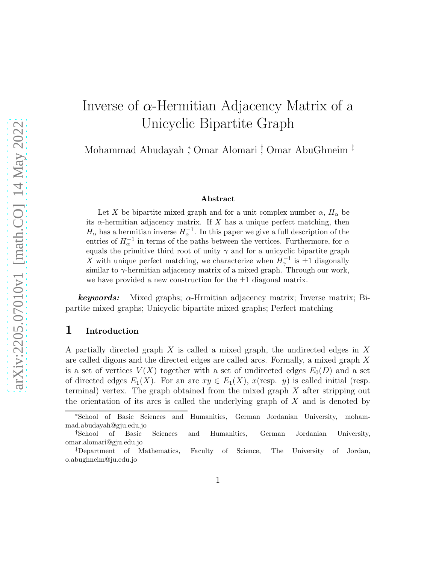# Inverse of  $\alpha$ -Hermitian Adjacency Matrix of a Unicyclic Bipartite Graph

Mohammad Abudayah <sup>∗</sup> , Omar Alomari † , Omar AbuGhneim ‡

#### Abstract

Let X be bipartite mixed graph and for a unit complex number  $\alpha$ ,  $H_{\alpha}$  be its  $\alpha$ -hermitian adjacency matrix. If X has a unique perfect matching, then  $H_{\alpha}$  has a hermitian inverse  $H_{\alpha}^{-1}$ . In this paper we give a full description of the entries of  $H_{\alpha}^{-1}$  in terms of the paths between the vertices. Furthermore, for  $\alpha$ equals the primitive third root of unity  $\gamma$  and for a unicyclic bipartite graph X with unique perfect matching, we characterize when  $H_{\gamma}^{-1}$  is  $\pm 1$  diagonally similar to  $\gamma$ -hermitian adjacency matrix of a mixed graph. Through our work, we have provided a new construction for the  $\pm 1$  diagonal matrix.

**keywords:** Mixed graphs;  $\alpha$ -Hrmitian adjacency matrix; Inverse matrix; Bipartite mixed graphs; Unicyclic bipartite mixed graphs; Perfect matching

#### 1 Introduction

A partially directed graph  $X$  is called a mixed graph, the undirected edges in  $X$ are called digons and the directed edges are called arcs. Formally, a mixed graph X is a set of vertices  $V(X)$  together with a set of undirected edges  $E_0(D)$  and a set of directed edges  $E_1(X)$ . For an arc  $xy \in E_1(X)$ ,  $x$ (resp. y) is called initial (resp. terminal) vertex. The graph obtained from the mixed graph  $X$  after stripping out the orientation of its arcs is called the underlying graph of  $X$  and is denoted by

<sup>∗</sup>School of Basic Sciences and Humanities, German Jordanian University, mohammad.abudayah@gju.edu.jo

<sup>†</sup>School of Basic Sciences and Humanities, German Jordanian University, omar.alomari@gju.edu.jo

<sup>‡</sup>Department of Mathematics, Faculty of Science, The University of Jordan, o.abughneim@ju.edu.jo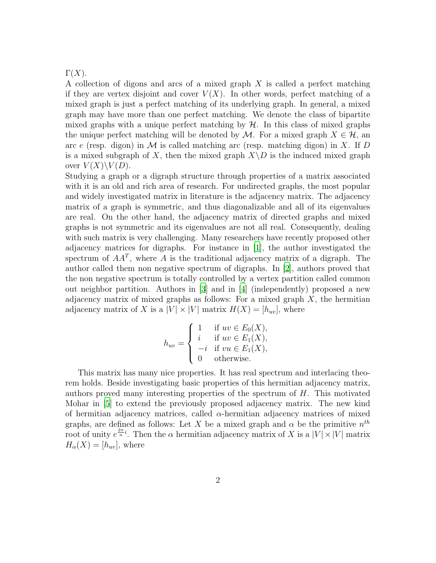$\Gamma(X)$ .

A collection of digons and arcs of a mixed graph X is called a perfect matching if they are vertex disjoint and cover  $V(X)$ . In other words, perfect matching of a mixed graph is just a perfect matching of its underlying graph. In general, a mixed graph may have more than one perfect matching. We denote the class of bipartite mixed graphs with a unique perfect matching by  $H$ . In this class of mixed graphs the unique perfect matching will be denoted by M. For a mixed graph  $X \in \mathcal{H}$ , an arc e (resp. digon) in  $\mathcal M$  is called matching arc (resp. matching digon) in X. If D is a mixed subgraph of X, then the mixed graph  $X\backslash D$  is the induced mixed graph over  $V(X)\backslash V(D)$ .

Studying a graph or a digraph structure through properties of a matrix associated with it is an old and rich area of research. For undirected graphs, the most popular and widely investigated matrix in literature is the adjacency matrix. The adjacency matrix of a graph is symmetric, and thus diagonalizable and all of its eigenvalues are real. On the other hand, the adjacency matrix of directed graphs and mixed graphs is not symmetric and its eigenvalues are not all real. Consequently, dealing with such matrix is very challenging. Many researchers have recently proposed other adjacency matrices for digraphs. For instance in [\[1\]](#page-15-0), the author investigated the spectrum of  $AA<sup>T</sup>$ , where A is the traditional adjacency matrix of a digraph. The author called them non negative spectrum of digraphs. In [\[2\]](#page-15-1), authors proved that the non negative spectrum is totally controlled by a vertex partition called common out neighbor partition. Authors in [\[3\]](#page-15-2) and in [\[4\]](#page-16-0) (independently) proposed a new adjacency matrix of mixed graphs as follows: For a mixed graph  $X$ , the hermitian adjacency matrix of X is a  $|V| \times |V|$  matrix  $H(X) = [h_{uv}]$ , where

$$
h_{uv} = \begin{cases} 1 & \text{if } uv \in E_0(X), \\ i & \text{if } uv \in E_1(X), \\ -i & \text{if } vu \in E_1(X), \\ 0 & \text{otherwise.} \end{cases}
$$

This matrix has many nice properties. It has real spectrum and interlacing theorem holds. Beside investigating basic properties of this hermitian adjacency matrix, authors proved many interesting properties of the spectrum of H. This motivated Mohar in [\[5](#page-16-1)] to extend the previously proposed adjacency matrix. The new kind of hermitian adjacency matrices, called  $\alpha$ -hermitian adjacency matrices of mixed graphs, are defined as follows: Let X be a mixed graph and  $\alpha$  be the primitive  $n^{th}$ root of unity  $e^{\frac{2\pi}{n}i}$ . Then the  $\alpha$  hermitian adjacency matrix of X is a  $|V| \times |V|$  matrix  $H_{\alpha}(X) = [h_{uv}],$  where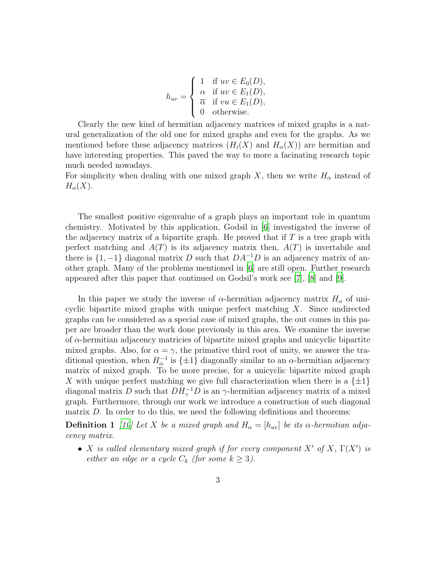$$
h_{uv} = \begin{cases} 1 & \text{if } uv \in E_0(D), \\ \alpha & \text{if } uv \in E_1(D), \\ \overline{\alpha} & \text{if } vu \in E_1(D), \\ 0 & \text{otherwise.} \end{cases}
$$

Clearly the new kind of hermitian adjacency matrices of mixed graphs is a natural generalization of the old one for mixed graphs and even for the graphs. As we mentioned before these adjacency matrices  $(H_i(X)$  and  $H_{\alpha}(X))$  are hermitian and have interesting properties. This paved the way to more a facinating research topic much needed nowadays.

For simplicity when dealing with one mixed graph X, then we write  $H_{\alpha}$  instead of  $H_\alpha(X)$ .

The smallest positive eigenvalue of a graph plays an important role in quantum chemistry. Motivated by this application, Godsil in [\[6](#page-16-2)] investigated the inverse of the adjacency matrix of a bipartite graph. He proved that if  $T$  is a tree graph with perfect matching and  $A(T)$  is its adjacency matrix then,  $A(T)$  is invertabile and there is  $\{1, -1\}$  diagonal matrix D such that  $DA^{-1}D$  is an adjacency matrix of another graph. Many of the problems mentioned in [\[6\]](#page-16-2) are still open. Further research appeared after this paper that continued on Godsil's work see [\[7\]](#page-16-3), [\[8](#page-16-4)] and [\[9](#page-16-5)].

In this paper we study the inverse of  $\alpha$ -hermitian adjacency matrix  $H_{\alpha}$  of unicyclic bipartite mixed graphs with unique perfect matching  $X$ . Since undirected graphs can be considered as a special case of mixed graphs, the out comes in this paper are broader than the work done previously in this area. We examine the inverse of  $\alpha$ -hermitian adjacency matricies of bipartite mixed graphs and unicyclic bipartite mixed graphs. Also, for  $\alpha = \gamma$ , the primative third root of unity, we answer the traditional question, when  $H_{\alpha}^{-1}$  is  $\{\pm 1\}$  diagonally similar to an  $\alpha$ -hermitian adjacency matrix of mixed graph. To be more precise, for a unicyclic bipartite mixed graph X with unique perfect matching we give full characterization when there is a  $\{\pm 1\}$ diagonal matrix D such that  $DH_\gamma^{-1}D$  is an  $\gamma$ -hermitian adjacency matrix of a mixed graph. Furthermore, through our work we introduce a construction of such diagonal matrix D. In order to do this, we need the following definitions and theorems:

**Definition 1** [\[10\]](#page-16-6) Let X be a mixed graph and  $H_{\alpha} = [h_{uv}]$  be its  $\alpha$ -hermitian adjacency matrix.

• X is called elementary mixed graph if for every component  $X'$  of  $X$ ,  $\Gamma(X')$  is either an edge or a cycle  $C_k$  (for some  $k \geq 3$ ).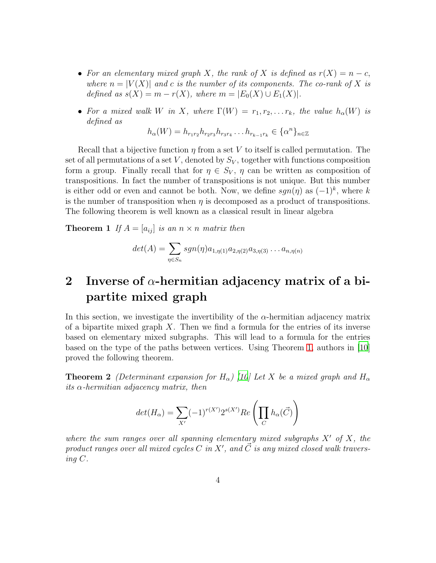- For an elementary mixed graph X, the rank of X is defined as  $r(X) = n c$ , where  $n = |V(X)|$  and c is the number of its components. The co-rank of X is defined as  $s(X) = m - r(X)$ , where  $m = |E_0(X) \cup E_1(X)|$ .
- For a mixed walk W in X, where  $\Gamma(W) = r_1, r_2, \ldots r_k$ , the value  $h_\alpha(W)$  is defined as

<span id="page-3-0"></span>
$$
h_{\alpha}(W) = h_{r_1r_2}h_{r_2r_3}h_{r_3r_4}\dots h_{r_{k-1}r_k} \in {\{\alpha^n\}}_{n\in \mathbb{Z}}
$$

Recall that a bijective function  $\eta$  from a set V to itself is called permutation. The set of all permutations of a set V, denoted by  $S_V$ , together with functions composition form a group. Finally recall that for  $\eta \in S_V$ ,  $\eta$  can be written as composition of transpositions. In fact the number of transpositions is not unique. But this number is either odd or even and cannot be both. Now, we define  $sgn(\eta)$  as  $(-1)^k$ , where k is the number of transposition when  $\eta$  is decomposed as a product of transpositions. The following theorem is well known as a classical result in linear algebra

**Theorem 1** If  $A = [a_{ij}]$  is an  $n \times n$  matrix then

$$
det(A) = \sum_{\eta \in S_n} sgn(\eta) a_{1, \eta(1)} a_{2, \eta(2)} a_{3, \eta(3)} \dots a_{n, \eta(n)}
$$

## 2 Inverse of  $\alpha$ -hermitian adjacency matrix of a bipartite mixed graph

In this section, we investigate the invertibility of the  $\alpha$ -hermitian adjacency matrix of a bipartite mixed graph  $X$ . Then we find a formula for the entries of its inverse based on elementary mixed subgraphs. This will lead to a formula for the entries based on the type of the paths between vertices. Using Theorem [1,](#page-3-0) authors in [\[10\]](#page-16-6) proved the following theorem.

<span id="page-3-1"></span>**Theorem 2** (Determinant expansion for H<sub>α</sub>) [\[10](#page-16-6)] Let X be a mixed graph and H<sub>α</sub> its  $\alpha$ -hermitian adjacency matrix, then

$$
det(H_{\alpha}) = \sum_{X'} (-1)^{r(X')} 2^{s(X')} Re\left(\prod_C h_{\alpha}(\vec{C})\right)
$$

where the sum ranges over all spanning elementary mixed subgraphs  $X'$  of X, the product ranges over all mixed cycles C in X', and  $\vec{C}$  is any mixed closed walk traversing C.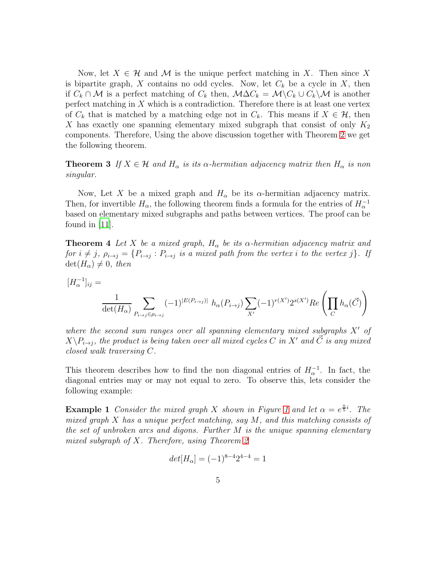Now, let  $X \in \mathcal{H}$  and M is the unique perfect matching in X. Then since X is bipartite graph, X contains no odd cycles. Now, let  $C_k$  be a cycle in X, then if  $C_k \cap \mathcal{M}$  is a perfect matching of  $C_k$  then,  $\mathcal{M} \Delta C_k = \mathcal{M} \backslash C_k \cup C_k \backslash \mathcal{M}$  is another perfect matching in  $X$  which is a contradiction. Therefore there is at least one vertex of  $C_k$  that is matched by a matching edge not in  $C_k$ . This means if  $X \in \mathcal{H}$ , then X has exactly one spanning elementary mixed subgraph that consist of only  $K_2$ components. Therefore, Using the above discussion together with Theorem [2](#page-3-1) we get the following theorem.

#### <span id="page-4-0"></span>**Theorem 3** If  $X \in \mathcal{H}$  and  $H_{\alpha}$  is its  $\alpha$ -hermitian adjacency matrix then  $H_{\alpha}$  is non singular.

Now, Let X be a mixed graph and  $H_{\alpha}$  be its  $\alpha$ -hermitian adjacency matrix. Then, for invertible  $H_{\alpha}$ , the following theorem finds a formula for the entries of  $H_{\alpha}^{-1}$ based on elementary mixed subgraphs and paths between vertices. The proof can be found in  $|11|$ .

<span id="page-4-1"></span>**Theorem 4** Let X be a mixed graph,  $H_{\alpha}$  be its  $\alpha$ -hermitian adjacency matrix and for  $i \neq j$ ,  $\rho_{i \to j} = \{P_{i \to j} : P_{i \to j}$  is a mixed path from the vertex i to the vertex j}. If  $\det(H_{\alpha}) \neq 0$ , then

$$
[H_{\alpha}^{-1}]_{ij} = \frac{1}{\det(H_{\alpha})} \sum_{P_{i \to j} \in \rho_{i \to j}} (-1)^{|E(P_{i \to j})|} h_{\alpha}(P_{i \to j}) \sum_{X'} (-1)^{r(X')} 2^{s(X')} Re\left(\prod_{C} h_{\alpha}(\vec{C})\right)
$$

where the second sum ranges over all spanning elementary mixed subgraphs  $X'$  of  $X\backslash P_{i\rightarrow j},$  the product is being taken over all mixed cycles C in X' and  $\vec{C}$  is any mixed closed walk traversing C.

This theorem describes how to find the non diagonal entries of  $H_{\alpha}^{-1}$ . In fact, the diagonal entries may or may not equal to zero. To observe this, lets consider the following example:

**Example [1](#page-5-0)** Consider the mixed graph X shown in Figure 1 and let  $\alpha = e^{\frac{\pi}{5}i}$ . The mixed graph  $X$  has a unique perfect matching, say  $M$ , and this matching consists of the set of unbroken arcs and digons. Further  $M$  is the unique spanning elementary mixed subgraph of X. Therefore, using Theorem [2](#page-3-1)

$$
det[H_{\alpha}] = (-1)^{8-4}2^{4-4} = 1
$$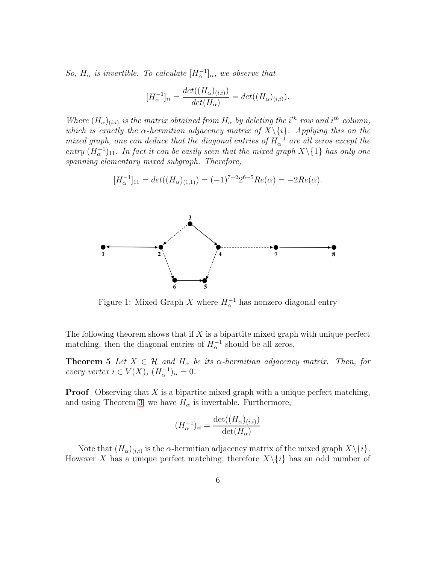So,  $H_{\alpha}$  is invertible. To calculate  $[H_{\alpha}^{-1}]_{ii}$ , we observe that

$$
[H_{\alpha}^{-1}]_{ii} = \frac{det((H_{\alpha})_{(i,i)})}{det(H_{\alpha})} = det((H_{\alpha})_{(i,i)}).
$$

Where  $(H_{\alpha})_{(i,i)}$  is the matrix obtained from  $H_{\alpha}$  by deleting the i<sup>th</sup> row and i<sup>th</sup> column, which is exactly the  $\alpha$ -hermitian adjacency matrix of  $X\setminus\{i\}$ . Applying this on the mixed graph, one can deduce that the diagonal entries of  $H_{\alpha}^{-1}$  are all zeros except the entry  $(H_{\alpha}^{-1})_{11}$ . In fact it can be easily seen that the mixed graph  $X\setminus\{1\}$  has only one spanning elementary mixed subgraph. Therefore,

$$
[H_{\alpha}^{-1}]_{11} = det((H_{\alpha})_{(1,1)}) = (-1)^{7-2} 2^{6-5} Re(\alpha) = -2Re(\alpha).
$$

<span id="page-5-0"></span>

Figure 1: Mixed Graph X where  $H_{\alpha}^{-1}$  has nonzero diagonal entry

The following theorem shows that if  $X$  is a bipartite mixed graph with unique perfect matching, then the diagonal entries of  $H_{\alpha}^{-1}$  should be all zeros.

**Theorem 5** Let  $X \in \mathcal{H}$  and  $H_{\alpha}$  be its  $\alpha$ -hermitian adjacency matrix. Then, for every vertex  $i \in V(X)$ ,  $(H_{\alpha}^{-1})_{ii} = 0$ .

**Proof** Observing that X is a bipartite mixed graph with a unique perfect matching, and using Theorem [3,](#page-4-0) we have  $H_{\alpha}$  is invertable. Furthermore,

$$
(H_{\alpha}^{-1})_{ii} = \frac{\det((H_{\alpha})_{(i,i)})}{\det(H_{\alpha})}
$$

Note that  $(H_{\alpha})_{(i,i)}$  is the  $\alpha$ -hermitian adjacency matrix of the mixed graph  $X\backslash\{i\}$ . However X has a unique perfect matching, therefore  $X\setminus\{i\}$  has an odd number of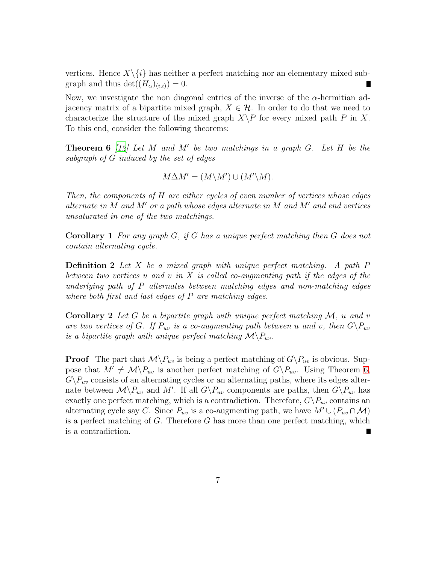vertices. Hence  $X\setminus\{i\}$  has neither a perfect matching nor an elementary mixed subgraph and thus  $\det((H_{\alpha})_{(i,i)})=0.$ 

Now, we investigate the non diagonal entries of the inverse of the  $\alpha$ -hermitian adjacency matrix of a bipartite mixed graph,  $X \in \mathcal{H}$ . In order to do that we need to characterize the structure of the mixed graph  $X\backslash P$  for every mixed path P in X. To this end, consider the following theorems:

<span id="page-6-0"></span>**Theorem 6** [\[12\]](#page-16-8) Let M and M' be two matchings in a graph  $G$ . Let H be the subgraph of G induced by the set of edges

$$
M\Delta M' = (M\backslash M') \cup (M'\backslash M).
$$

Then, the components of H are either cycles of even number of vertices whose edges alternate in M and M' or a path whose edges alternate in M and M' and end vertices unsaturated in one of the two matchings.

<span id="page-6-3"></span>Corollary 1 For any graph G, if G has a unique perfect matching then G does not contain alternating cycle.

**Definition 2** Let X be a mixed graph with unique perfect matching. A path  $P$ between two vertices u and v in X is called co-augmenting path if the edges of the underlying path of P alternates between matching edges and non-matching edges where both first and last edges of P are matching edges.

<span id="page-6-2"></span>**Corollary 2** Let G be a bipartite graph with unique perfect matching  $M$ , u and v are two vertices of G. If  $P_{uv}$  is a co-augmenting path between u and v, then  $G\backslash P_{uv}$ is a bipartite graph with unique perfect matching  $\mathcal{M}\backslash P_{uv}$ .

<span id="page-6-1"></span>**Proof** The part that  $\mathcal{M}\backslash P_{uv}$  is being a perfect matching of  $G\backslash P_{uv}$  is obvious. Suppose that  $M' \neq \mathcal{M}\backslash P_{uv}$  is another perfect matching of  $G\backslash P_{uv}$ . Using Theorem [6,](#page-6-0)  $G\backslash P_{uv}$  consists of an alternating cycles or an alternating paths, where its edges alternate between  $\mathcal{M}\backslash P_{uv}$  and M'. If all  $G\backslash P_{uv}$  components are paths, then  $G\backslash P_{uv}$  has exactly one perfect matching, which is a contradiction. Therefore,  $G\backslash P_{uv}$  contains an alternating cycle say C. Since  $P_{uv}$  is a co-augmenting path, we have  $M' \cup (P_{uv} \cap M)$ is a perfect matching of  $G$ . Therefore  $G$  has more than one perfect matching, which is a contradiction.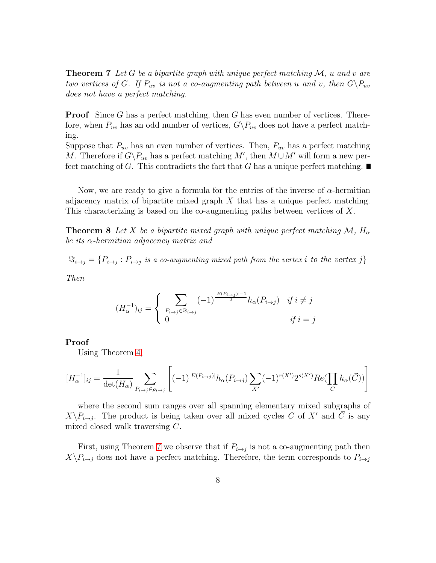**Theorem 7** Let G be a bipartite graph with unique perfect matching  $\mathcal{M}$ , u and v are two vertices of G. If  $P_{uv}$  is not a co-augmenting path between u and v, then  $G\backslash P_{uv}$ does not have a perfect matching.

**Proof** Since G has a perfect matching, then G has even number of vertices. Therefore, when  $P_{uv}$  has an odd number of vertices,  $G\backslash P_{uv}$  does not have a perfect matching.

Suppose that  $P_{uv}$  has an even number of vertices. Then,  $P_{uv}$  has a perfect matching M. Therefore if  $G\backslash P_{uv}$  has a perfect matching M', then  $M\cup M'$  will form a new perfect matching of G. This contradicts the fact that G has a unique perfect matching.

<span id="page-7-0"></span>Now, we are ready to give a formula for the entries of the inverse of  $\alpha$ -hermitian adjacency matrix of bipartite mixed graph  $X$  that has a unique perfect matching. This characterizing is based on the co-augmenting paths between vertices of X.

**Theorem 8** Let X be a bipartite mixed graph with unique perfect matching  $\mathcal{M}$ ,  $H_{\alpha}$ be its  $\alpha$ -hermitian adjacency matrix and

 $\Im_{i\to j} = \{P_{i\to j}: P_{i\to j}$  is a co-augmenting mixed path from the vertex  $i$  to the vertex  $j\}$ 

Then

$$
(H_{\alpha}^{-1})_{ij} = \begin{cases} \sum_{P_{i \to j} \in \mathcal{S}_{i \to j}} (-1)^{\frac{|E(P_{i \to j})|-1}{2}} h_{\alpha}(P_{i \to j}) & \text{if } i \neq j \\ 0 & \text{if } i = j \end{cases}
$$

#### Proof

Using Theorem [4,](#page-4-1)

$$
[H_{\alpha}^{-1}]_{ij} = \frac{1}{\det(H_{\alpha})} \sum_{P_{i \to j} \in \rho_{i \to j}} \left[ (-1)^{|E(P_{i \to j})|} h_{\alpha}(P_{i \to j}) \sum_{X'} (-1)^{r(X')} 2^{s(X')} Re(\prod_{C} h_{\alpha}(\vec{C})) \right]
$$

where the second sum ranges over all spanning elementary mixed subgraphs of  $X\backslash P_{i\rightarrow j}$ . The product is being taken over all mixed cycles C of X' and  $\vec{C}$  is any mixed closed walk traversing C.

First, using Theorem [7](#page-6-1) we observe that if  $P_{i\rightarrow j}$  is not a co-augmenting path then  $X\backslash P_{i\rightarrow j}$  does not have a perfect matching. Therefore, the term corresponds to  $P_{i\rightarrow j}$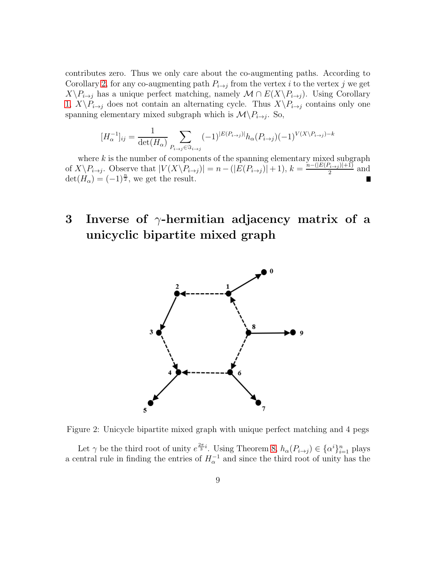contributes zero. Thus we only care about the co-augmenting paths. According to Corollary [2,](#page-6-2) for any co-augmenting path  $P_{i\rightarrow j}$  from the vertex i to the vertex j we get  $X\backslash P_{i\rightarrow j}$  has a unique perfect matching, namely  $\mathcal{M} \cap E(X\backslash P_{i\rightarrow j})$ . Using Corollary [1,](#page-6-3)  $X\backslash P_{i\rightarrow j}$  does not contain an alternating cycle. Thus  $X\backslash P_{i\rightarrow j}$  contains only one spanning elementary mixed subgraph which is  $\mathcal{M}\backslash P_{i\rightarrow j}$ . So,

$$
[H_{\alpha}^{-1}]_{ij} = \frac{1}{\det(H_{\alpha})} \sum_{P_{i \to j} \in \mathfrak{S}_{i \to j}} (-1)^{|E(P_{i \to j})|} h_{\alpha}(P_{i \to j}) (-1)^{V(X \setminus P_{i \to j})-k}
$$

where  $k$  is the number of components of the spanning elementary mixed subgraph of  $X\backslash P_{i\rightarrow j}$ . Observe that  $|V(X\backslash P_{i\rightarrow j})|=n-(|E(P_{i\rightarrow j})|+1)$ ,  $k=\frac{n-(|E(P_{i\rightarrow j})|+1)}{2}$  $\frac{\gamma_{i\rightarrow j}+1}{2}$  and  $\det(H_\alpha) = (-1)^{\frac{n}{2}},$  we get the result.

## <span id="page-8-0"></span>3 Inverse of  $\gamma$ -hermitian adjacency matrix of a unicyclic bipartite mixed graph



Figure 2: Unicycle bipartite mixed graph with unique perfect matching and 4 pegs

Let  $\gamma$  be the third root of unity  $e^{\frac{2\pi}{3}i}$ . Using Theorem [8,](#page-7-0)  $h_{\alpha}(P_{i\to j}) \in {\{\alpha^i\}}_{i=1}^n$  plays a central rule in finding the entries of  $H_{\alpha}^{-1}$  and since the third root of unity has the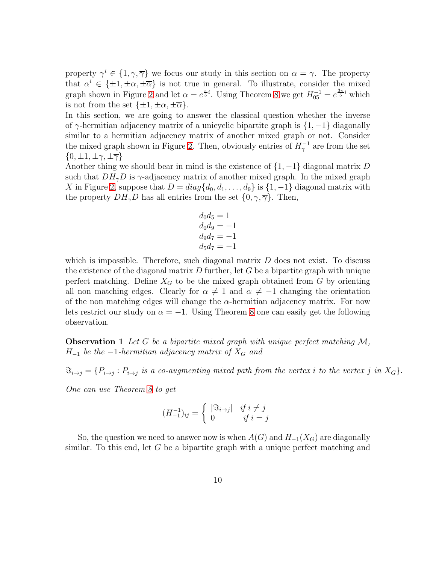property  $\gamma^i \in \{1, \gamma, \overline{\gamma}\}\$  we focus our study in this section on  $\alpha = \gamma$ . The property that  $\alpha^i \in {\pm 1, \pm \alpha, \pm \overline{\alpha}}$  is not true in general. To illustrate, consider the mixed graph shown in Figure [2](#page-8-0) and let  $\alpha = e^{\frac{\pi}{5}i}$ . Using Theorem [8](#page-7-0) we get  $H_{05}^{-1} = e^{\frac{3\pi}{5}i}$  which is not from the set  $\{\pm 1, \pm \alpha, \pm \overline{\alpha}\}.$ 

In this section, we are going to answer the classical question whether the inverse of  $\gamma$ -hermitian adjacency matrix of a unicyclic bipartite graph is  $\{1, -1\}$  diagonally similar to a hermitian adjacency matrix of another mixed graph or not. Consider the mixed graph shown in Figure [2.](#page-8-0) Then, obviously entries of  $H_{\gamma}^{-1}$  are from the set  $\{0, \pm 1, \pm \gamma, \pm \overline{\gamma}\}\$ 

Another thing we should bear in mind is the existence of  $\{1, -1\}$  diagonal matrix D such that  $DH_{\gamma}D$  is  $\gamma$ -adjacency matrix of another mixed graph. In the mixed graph X in Figure [2,](#page-8-0) suppose that  $D = diag{d_0, d_1, ..., d_9}$  is  ${1, -1}$  diagonal matrix with the property  $DH_{\gamma}D$  has all entries from the set  $\{0, \gamma, \overline{\gamma}\}\$ . Then,

$$
d_0 d_5 = 1
$$
  
\n
$$
d_0 d_9 = -1
$$
  
\n
$$
d_9 d_7 = -1
$$
  
\n
$$
d_5 d_7 = -1
$$

which is impossible. Therefore, such diagonal matrix  $D$  does not exist. To discuss the existence of the diagonal matrix  $D$  further, let  $G$  be a bipartite graph with unique perfect matching. Define  $X_G$  to be the mixed graph obtained from G by orienting all non matching edges. Clearly for  $\alpha \neq 1$  and  $\alpha \neq -1$  changing the orientation of the non matching edges will change the  $\alpha$ -hermitian adjacency matrix. For now lets restrict our study on  $\alpha = -1$ . Using Theorem [8](#page-7-0) one can easily get the following observation.

**Observation 1** Let G be a bipartite mixed graph with unique perfect matching  $M$ ,  $H_{-1}$  be the  $-1$ -hermitian adjacency matrix of  $X_G$  and

 $\Im_{i\to j} = \{P_{i\to j}: P_{i\to j} \,\,\hbox{is a co-augmenting mixed path from the vertex } i \,\,\hbox{to the vertex } j \,\,\hbox{in} \,\, X_G\}.$ 

One can use Theorem [8](#page-7-0) to get

$$
(H_{-1}^{-1})_{ij} = \begin{cases} |\Im_{i \to j}| & \text{if } i \neq j \\ 0 & \text{if } i = j \end{cases}
$$

So, the question we need to answer now is when  $A(G)$  and  $H_{-1}(X_G)$  are diagonally similar. To this end, let  $G$  be a bipartite graph with a unique perfect matching and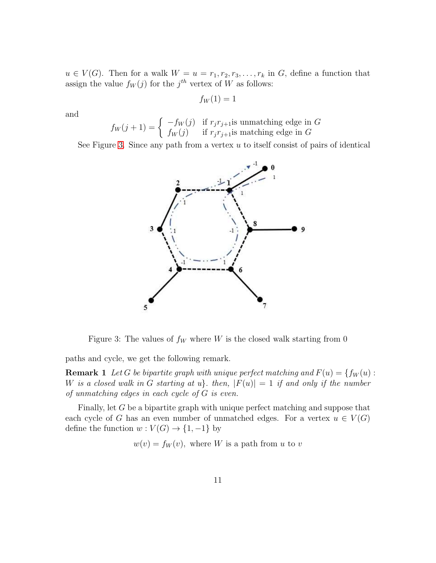$u \in V(G)$ . Then for a walk  $W = u = r_1, r_2, r_3, \ldots, r_k$  in G, define a function that assign the value  $f_W(j)$  for the  $j^{th}$  vertex of W as follows:

$$
f_W(1)=1
$$

and

$$
f_W(j+1) = \begin{cases} -f_W(j) & \text{if } r_j r_{j+1} \text{is unmatching edge in } G \\ f_W(j) & \text{if } r_j r_{j+1} \text{is matching edge in } G \end{cases}
$$

<span id="page-10-0"></span>See Figure [3.](#page-10-0) Since any path from a vertex  $u$  to itself consist of pairs of identical



Figure 3: The values of  $f_W$  where W is the closed walk starting from 0

paths and cycle, we get the following remark.

**Remark 1** Let G be bipartite graph with unique perfect matching and  $F(u) = \{f_W(u):$ W is a closed walk in G starting at u. then,  $|F(u)| = 1$  if and only if the number of unmatching edges in each cycle of G is even.

Finally, let G be a bipartite graph with unique perfect matching and suppose that each cycle of G has an even number of unmatched edges. For a vertex  $u \in V(G)$ define the function  $w: V(G) \to \{1, -1\}$  by

 $w(v) = f_W(v)$ , where W is a path from u to v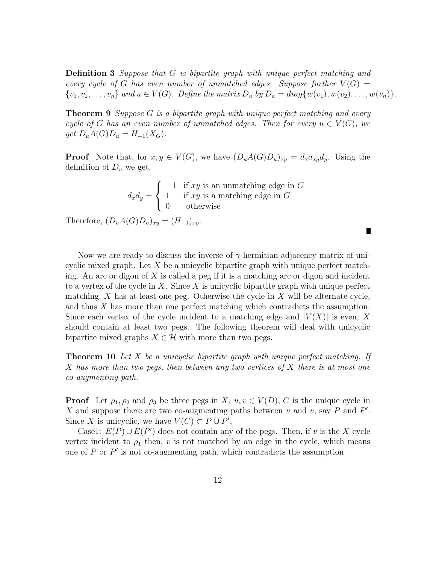Definition 3 Suppose that G is bipartite graph with unique perfect matching and every cycle of G has even number of unmatched edges. Suppose further  $V(G) =$  $\{v_1, v_2, \ldots, v_n\}$  and  $u \in V(G)$ . Define the matrix  $D_u$  by  $D_u = diag\{w(v_1), w(v_2), \ldots, w(v_n)\}.$ 

<span id="page-11-1"></span>**Theorem 9** Suppose G is a bipartite graph with unique perfect matching and every cycle of G has an even number of unmatched edges. Then for every  $u \in V(G)$ , we  $get D_uA(G)D_u = H_{-1}(X_G).$ 

**Proof** Note that, for  $x, y \in V(G)$ , we have  $(D_uA(G)D_u)_{xy} = d_xa_{xy}d_y$ . Using the definition of  $D_u$  we get,

|  | $\int -1$ if xy is an unmatching edge in G                                               |
|--|------------------------------------------------------------------------------------------|
|  | $d_x d_y = \begin{cases} 1 & \text{if } xy \text{ is a matching edge in } G \end{cases}$ |
|  | 0 otherwise                                                                              |

 $\blacksquare$ 

Therefore,  $(D_uA(G)D_u)_{xy} = (H_{-1})_{xy}$ .

Now we are ready to discuss the inverse of  $\gamma$ -hermitian adjacency matrix of unicyclic mixed graph. Let  $X$  be a unicyclic bipartite graph with unique perfect matching. An arc or digon of  $X$  is called a peg if it is a matching arc or digon and incident to a vertex of the cycle in X. Since X is unicyclic bipartite graph with unique perfect matching,  $X$  has at least one peg. Otherwise the cycle in  $X$  will be alternate cycle, and thus X has more than one perfect matching which contradicts the assumption. Since each vertex of the cycle incident to a matching edge and  $|V(X)|$  is even, X should contain at least two pegs. The following theorem will deal with unicyclic bipartite mixed graphs  $X \in \mathcal{H}$  with more than two pegs.

<span id="page-11-0"></span>**Theorem 10** Let X be a unicyclic bipartite graph with unique perfect matching. If X has more than two pegs, then between any two vertices of X there is at most one co-augmenting path.

**Proof** Let  $\rho_1, \rho_2$  and  $\rho_3$  be three pegs in X,  $u, v \in V(D)$ , C is the unique cycle in X and suppose there are two co-augmenting paths between  $u$  and  $v$ , say  $P$  and  $P'$ . Since X is unicyclic, we have  $V(C) \subset P \cup P'$ ,

Case1:  $E(P) \cup E(P')$  does not contain any of the pegs. Then, if v is the X cycle vertex incident to  $\rho_1$  then, v is not matched by an edge in the cycle, which means one of  $P$  or  $P'$  is not co-augmenting path, which contradicts the assumption.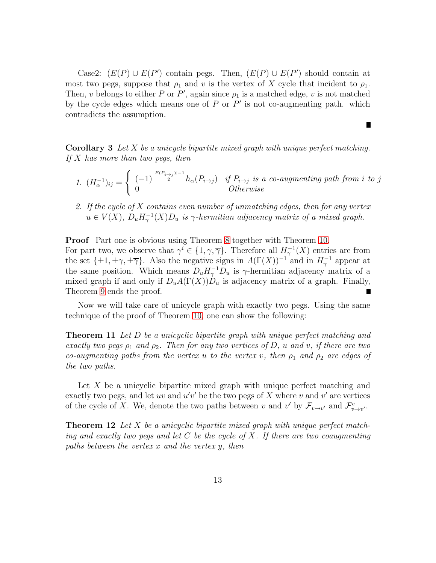Case2:  $(E(P) \cup E(P')$  contain pegs. Then,  $(E(P) \cup E(P')$  should contain at most two pegs, suppose that  $\rho_1$  and v is the vertex of X cycle that incident to  $\rho_1$ . Then, v belongs to either P or P', again since  $\rho_1$  is a matched edge, v is not matched by the cycle edges which means one of  $P$  or  $P'$  is not co-augmenting path. which contradicts the assumption.

<span id="page-12-2"></span>**Corollary 3** Let  $X$  be a unicycle bipartite mixed graph with unique perfect matching. If X has more than two pegs, then

1. 
$$
(H_{\alpha}^{-1})_{ij} = \begin{cases} (-1)^{\frac{|E(P_{i\rightarrow j})|-1}{2}} h_{\alpha}(P_{i\rightarrow j}) & \text{if } P_{i\rightarrow j} \text{ is a co-augmenting path from i to j} \\ 0 & \text{Otherwise} \end{cases}
$$

 $\blacksquare$ 

2. If the cycle of  $X$  contains even number of unmatching edges, then for any vertex  $u \in V(X)$ ,  $D_u H_\gamma^{-1}(X)D_u$  is  $\gamma$ -hermitian adjacency matrix of a mixed graph.

**Proof** Part one is obvious using Theorem [8](#page-7-0) together with Theorem [10.](#page-11-0) For part two, we observe that  $\gamma^i \in \{1, \gamma, \overline{\gamma}\}\$ . Therefore all  $H_{\gamma}^{-1}(X)$  entries are from the set  $\{\pm 1, \pm \gamma, \pm \overline{\gamma}\}\$ . Also the negative signs in  $A(\Gamma(X))^{-1}$  and in  $H_{\gamma}^{-1}$  appear at the same position. Which means  $D_u H_\gamma^{-1} D_u$  is  $\gamma$ -hermitian adjacency matrix of a mixed graph if and only if  $D_uA(\Gamma(X))D_u$  is adjacency matrix of a graph. Finally, Theorem [9](#page-11-1) ends the proof. Г

<span id="page-12-0"></span>Now we will take care of unicycle graph with exactly two pegs. Using the same technique of the proof of Theorem [10,](#page-11-0) one can show the following:

**Theorem 11** Let D be a unicyclic bipartite graph with unique perfect matching and exactly two pegs  $\rho_1$  and  $\rho_2$ . Then for any two vertices of D, u and v, if there are two co-augmenting paths from the vertex u to the vertex v, then  $\rho_1$  and  $\rho_2$  are edges of the two paths.

Let X be a unicyclic bipartite mixed graph with unique perfect matching and exactly two pegs, and let uv and  $u'v'$  be the two pegs of X where v and v' are vertices of the cycle of X. We, denote the two paths between v and v' by  $\mathcal{F}_{v\to v'}$  and  $\mathcal{F}_{v\to v'}^c$ .

<span id="page-12-1"></span>**Theorem 12** Let X be a unicyclic bipartite mixed graph with unique perfect matching and exactly two pegs and let  $C$  be the cycle of  $X$ . If there are two coaugmenting paths between the vertex x and the vertex y, then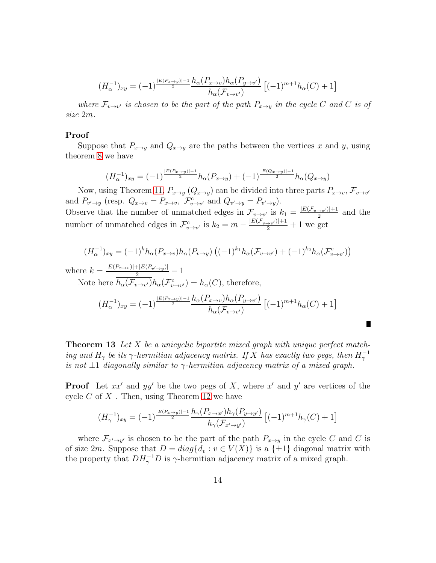$$
(H_{\alpha}^{-1})_{xy} = (-1)^{\frac{|E(P_{x\rightarrow y})|-1}{2}} \frac{h_{\alpha}(P_{x\rightarrow v})h_{\alpha}(P_{y\rightarrow v'})}{h_{\alpha}(\mathcal{F}_{v\rightarrow v'})} \left[ (-1)^{m+1}h_{\alpha}(C) + 1 \right]
$$

where  $\mathcal{F}_{v\to v'}$  is chosen to be the part of the path  $P_{x\to y}$  in the cycle C and C is of size 2m.

#### Proof

Suppose that  $P_{x\to y}$  and  $Q_{x\to y}$  are the paths between the vertices x and y, using theorem [8](#page-7-0) we have

$$
(H_{\alpha}^{-1})_{xy} = (-1)^{\frac{|E(P_x \to y)| - 1}{2}} h_{\alpha}(P_{x \to y}) + (-1)^{\frac{|E(Q_x \to y)| - 1}{2}} h_{\alpha}(Q_{x \to y})
$$

Now, using Theorem [11,](#page-12-0)  $P_{x\to y}(Q_{x\to y})$  can be divided into three parts  $P_{x\to v}$ ,  $\mathcal{F}_{v\to v'}$ and  $P_{v' \to y}$  (resp.  $Q_{x \to v} = P_{x \to v}$ ,  $\mathcal{F}^c_{v \to v'}$  and  $Q_{v' \to y} = P_{v' \to y}$ ). Observe that the number of unmatched edges in  $\mathcal{F}_{v \to v'}$  is  $k_1 = \frac{|E(\mathcal{F}_{v \to v'})|+1}{2}$  $\frac{a^{2}v^{7}}{2}$  and the number of unmatched edges in  $\mathcal{F}^c_{v \to v'}$  is  $k_2 = m - \frac{|E(\mathcal{F}_{v \to v'})|+1}{2} + 1$  we get

$$
(H_{\alpha}^{-1})_{xy} = (-1)^k h_{\alpha}(P_{x \to v}) h_{\alpha}(P_{v \to y}) ((-1)^{k_1} h_{\alpha}(\mathcal{F}_{v \to v'}) + (-1)^{k_2} h_{\alpha}(\mathcal{F}_{v \to v'}^c))
$$

where  $k = \frac{|E(P_{x\to v})| + |E(P_{v'\to y})|}{2} - 1$ 

Note here  $\overline{h_{\alpha}(\mathcal{F}_{v\to v'})}h_{\alpha}(\mathcal{F}_{v\to v'}^c) = h_{\alpha}(C)$ , therefore,

$$
(H_{\alpha}^{-1})_{xy} = (-1)^{\frac{|E(P_x \to y)| - 1}{2}} \frac{h_{\alpha}(P_{x \to v}) h_{\alpha}(P_{y \to v'})}{h_{\alpha}(\mathcal{F}_{v \to v'})} \left[ (-1)^{m+1} h_{\alpha}(C) + 1 \right]
$$

H.

<span id="page-13-0"></span>**Theorem 13** Let X be a unicyclic bipartite mixed graph with unique perfect matching and  $H_{\gamma}$  be its  $\gamma$ -hermitian adjacency matrix. If X has exactly two pegs, then  $H_{\gamma}^{-1}$ is not  $\pm 1$  diagonally similar to  $\gamma$ -hermitian adjacency matrix of a mixed graph.

**Proof** Let  $xx'$  and  $yy'$  be the two pegs of X, where  $x'$  and  $y'$  are vertices of the cycle  $C$  of  $X$ . Then, using Theorem [12](#page-12-1) we have

$$
(H_{\gamma}^{-1})_{xy} = (-1)^{\frac{|E(P_x \to y)| - 1}{2}} \frac{h_{\gamma}(P_{x \to x'})h_{\gamma}(P_{y \to y'})}{h_{\gamma}(\mathcal{F}_{x' \to y'})} \left[ (-1)^{m+1}h_{\gamma}(C) + 1 \right]
$$

where  $\mathcal{F}_{x'\to y'}$  is chosen to be the part of the path  $P_{x\to y}$  in the cycle C and C is of size 2m. Suppose that  $D = diag{d_v : v \in V(X)}$  is a  $\{\pm 1\}$  diagonal matrix with the property that  $DH_{\gamma}^{-1}D$  is  $\gamma$ -hermitian adjacency matrix of a mixed graph.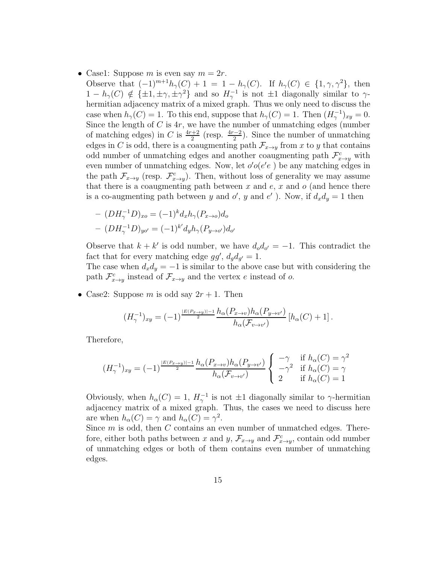- Case1: Suppose m is even say  $m = 2r$ .
	- Observe that  $(-1)^{m+1}h_{\gamma}(C) + 1 = 1 h_{\gamma}(C)$ . If  $h_{\gamma}(C) \in \{1, \gamma, \gamma^2\}$ , then  $1-h_\gamma(C) \notin {\pm 1, \pm \gamma, \pm \gamma^2}$  and so  $H_\gamma^{-1}$  is not  $\pm 1$  diagonally similar to  $\gamma$ hermitian adjacency matrix of a mixed graph. Thus we only need to discuss the case when  $h_{\gamma}(C) = 1$ . To this end, suppose that  $h_{\gamma}(C) = 1$ . Then  $(H_{\gamma}^{-1})_{xy} = 0$ . Since the length of  $C$  is  $4r$ , we have the number of unmatching edges (number of matching edges) in C is  $\frac{4r+2}{2}$  (resp.  $\frac{4r-2}{2}$ ). Since the number of unmatching edges in C is odd, there is a coaugmenting path  $\mathcal{F}_{x\to y}$  from x to y that contains odd number of unmatching edges and another coaugmenting path  $\mathcal{F}^c_{x\to y}$  with even number of unmatching edges. Now, let  $o' o (e' e)$  be any matching edges in the path  $\mathcal{F}_{x\to y}$  (resp.  $\mathcal{F}_{x\to y}^c$ ). Then, without loss of generality we may assume that there is a coaugmenting path between  $x$  and  $e, x$  and  $o$  (and hence there is a co-augmenting path between y and  $o'$ , y and  $e'$ ). Now, if  $d_x d_y = 1$  then

$$
-(DH_{\gamma}^{-1}D)_{xo} = (-1)^k d_x h_{\gamma}(P_{x\to o}) d_o
$$

$$
-(DH_{\gamma}^{-1}D)_{yo'} = (-1)^{k'} d_y h_{\gamma}(P_{y\to o'}) d_{o'}
$$

Observe that  $k + k'$  is odd number, we have  $d_0 d_{0'} = -1$ . This contradict the fact that for every matching edge  $gg'$ ,  $d_g d_{g'} = 1$ .

The case when  $d_x d_y = -1$  is similar to the above case but with considering the path  $\mathcal{F}_{x\to y}^c$  instead of  $\mathcal{F}_{x\to y}$  and the vertex e instead of o.

• Case2: Suppose m is odd say  $2r + 1$ . Then

$$
(H_{\gamma}^{-1})_{xy} = (-1)^{\frac{|E(P_{x\to y})|-1}{2}} \frac{h_{\alpha}(P_{x\to v})h_{\alpha}(P_{y\to v'})}{h_{\alpha}(\mathcal{F}_{v\to v'})} [h_{\alpha}(C) + 1].
$$

Therefore,

$$
(H_{\gamma}^{-1})_{xy} = (-1)^{\frac{|E(P_x \rightarrow y)| - 1}{2}} \frac{h_{\alpha}(P_{x \rightarrow v}) h_{\alpha}(P_{y \rightarrow v'})}{h_{\alpha}(\mathcal{F}_{v \rightarrow v'})} \begin{cases} -\gamma & \text{if } h_{\alpha}(C) = \gamma^2\\ -\gamma^2 & \text{if } h_{\alpha}(C) = \gamma\\ 2 & \text{if } h_{\alpha}(C) = 1 \end{cases}
$$

Obviously, when  $h_{\alpha}(C) = 1$ ,  $H_{\gamma}^{-1}$  is not  $\pm 1$  diagonally similar to  $\gamma$ -hermitian adjacency matrix of a mixed graph. Thus, the cases we need to discuss here are when  $h_{\alpha}(C) = \gamma$  and  $h_{\alpha}(C) = \gamma^2$ .

Since  $m$  is odd, then  $C$  contains an even number of unmatched edges. Therefore, either both paths between x and y,  $\mathcal{F}_{x\to y}$  and  $\mathcal{F}_{x\to y}^c$ , contain odd number of unmatching edges or both of them contains even number of unmatching edges.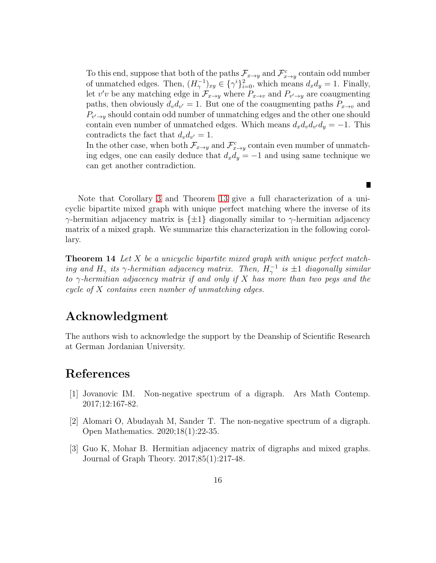To this end, suppose that both of the paths  $\mathcal{F}_{x\to y}$  and  $\mathcal{F}_{x\to y}^c$  contain odd number of unmatched edges. Then,  $(H_{\gamma}^{-1})_{xy} \in {\{\gamma^{i}\}}_{i=0}^{2}$ , which means  $d_{x}d_{y}=1$ . Finally, let v'v be any matching edge in  $\mathcal{F}_{x\to y}$  where  $P_{x\to v}$  and  $P_{v'\to y}$  are coaugmenting paths, then obviously  $d_v d_{v'} = 1$ . But one of the coaugmenting paths  $P_{x \to v}$  and  $P_{v' \to y}$  should contain odd number of unmatching edges and the other one should contain even number of unmatched edges. Which means  $d_x d_v d_{v'} d_y = -1$ . This contradicts the fact that  $d_v d_{v'} = 1$ .

In the other case, when both  $\mathcal{F}_{x \to y}$  and  $\mathcal{F}_{x \to y}^c$  contain even mumber of unmatching edges, one can easily deduce that  $d_x d_y = -1$  and using same technique we can get another contradiction.

Г

Note that Corollary [3](#page-12-2) and Theorem [13](#page-13-0) give a full characterization of a unicyclic bipartite mixed graph with unique perfect matching where the inverse of its γ-hermitian adjacency matrix is {±1} diagonally similar to γ-hermitian adjacency matrix of a mixed graph. We summarize this characterization in the following corollary.

**Theorem 14** Let X be a unicyclic bipartite mixed graph with unique perfect matching and  $H_{\gamma}$  its  $\gamma$ -hermitian adjacency matrix. Then,  $H_{\gamma}^{-1}$  is  $\pm 1$  diagonally similar to  $\gamma$ -hermitian adjacency matrix if and only if X has more than two pegs and the cycle of  $X$  contains even number of unmatching edges.

### Acknowledgment

The authors wish to acknowledge the support by the Deanship of Scientific Research at German Jordanian University.

### References

- <span id="page-15-0"></span>[1] Jovanovic IM. Non-negative spectrum of a digraph. Ars Math Contemp. 2017;12:167-82.
- <span id="page-15-1"></span>[2] Alomari O, Abudayah M, Sander T. The non-negative spectrum of a digraph. Open Mathematics. 2020;18(1):22-35.
- <span id="page-15-2"></span>[3] Guo K, Mohar B. Hermitian adjacency matrix of digraphs and mixed graphs. Journal of Graph Theory. 2017;85(1):217-48.